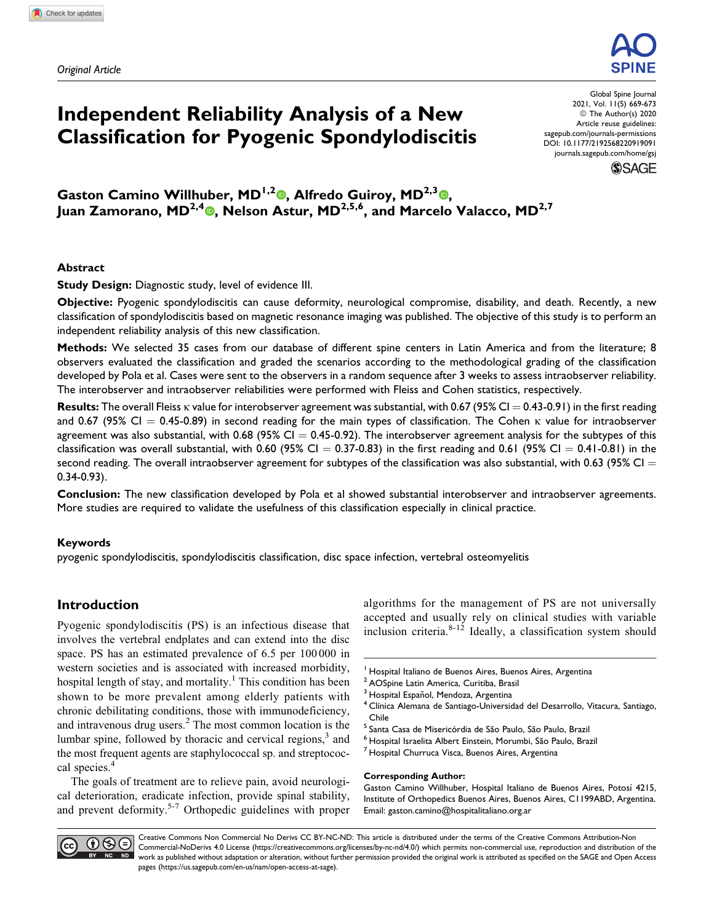*Original Article*



# **Independent Reliability Analysis of a New Classification for Pyogenic Spondylodiscitis**

Global Spine Journal 2021, Vol. 11(5) 669-673 © The Author(s) 2020 Article reuse guidelines: [sagepub.com/journals-permissions](https://sagepub.com/journals-permissions) [DOI: 10.1177/2192568220919091](https://doi.org/10.1177/2192568220919091) [journals.sagepub.com/home/gsj](http://journals.sagepub.com/home/gsj)



Gaston Camino Willhuber[,](https://orcid.org/0000-0001-9162-6508) MD<sup>1,2</sup><sup>®</sup>, Alfredo Guiroy, MD<sup>2,3</sup><sup>®</sup>, **Juan Zamorano, MD2,4 , Nelson Astur, MD2,5,6, and Marcelo Valacco, MD2,7**

## **Abstract**

**Study Design:** Diagnostic study, level of evidence III.

**Objective:** Pyogenic spondylodiscitis can cause deformity, neurological compromise, disability, and death. Recently, a new classification of spondylodiscitis based on magnetic resonance imaging was published. The objective of this study is to perform an independent reliability analysis of this new classification.

**Methods:** We selected 35 cases from our database of different spine centers in Latin America and from the literature; 8 observers evaluated the classification and graded the scenarios according to the methodological grading of the classification developed by Pola et al. Cases were sent to the observers in a random sequence after 3 weeks to assess intraobserver reliability. The interobserver and intraobserver reliabilities were performed with Fleiss and Cohen statistics, respectively.

**Results:** The overall Fleiss  $\kappa$  value for interobserver agreement was substantial, with 0.67 (95% CI = 0.43-0.91) in the first reading and 0.67 (95% CI  $=$  0.45-0.89) in second reading for the main types of classification. The Cohen  $\kappa$  value for intraobserver agreement was also substantial, with 0.68 (95% CI  $= 0.45-0.92$ ). The interobserver agreement analysis for the subtypes of this classification was overall substantial, with 0.60 (95% CI = 0.37-0.83) in the first reading and 0.61 (95% CI = 0.41-0.81) in the second reading. The overall intraobserver agreement for subtypes of the classification was also substantial, with 0.63 (95% CI  $=$ 0.34-0.93).

**Conclusion:** The new classification developed by Pola et al showed substantial interobserver and intraobserver agreements. More studies are required to validate the usefulness of this classification especially in clinical practice.

## **Keywords**

pyogenic spondylodiscitis, spondylodiscitis classification, disc space infection, vertebral osteomyelitis

# **Introduction**

Pyogenic spondylodiscitis (PS) is an infectious disease that involves the vertebral endplates and can extend into the disc space. PS has an estimated prevalence of 6.5 per 100 000 in western societies and is associated with increased morbidity, hospital length of stay, and mortality.<sup>1</sup> This condition has been shown to be more prevalent among elderly patients with chronic debilitating conditions, those with immunodeficiency, and intravenous drug users.<sup>2</sup> The most common location is the lumbar spine, followed by thoracic and cervical regions, $3$  and the most frequent agents are staphylococcal sp. and streptococcal species.<sup>4</sup>

The goals of treatment are to relieve pain, avoid neurological deterioration, eradicate infection, provide spinal stability, and prevent deformity.<sup>5-7</sup> Orthopedic guidelines with proper

algorithms for the management of PS are not universally accepted and usually rely on clinical studies with variable inclusion criteria. $8-12$  Ideally, a classification system should

- <sup>2</sup> AOSpine Latin America, Curitiba, Brasil
- 
- <sup>3</sup> Hospital Español, Mendoza, Argentina<br><sup>4</sup> Clínica Alemana de Santiago-Universidad del Desarrollo, Vitacura, Santiago, Chile
- 
- <sup>5</sup> Santa Casa de Misericórdia de São Paulo, São Paulo, Brazil<br><sup>6</sup> Hospital Israelita Albert Einstein, Morumbi, São Paulo, Brazil 7 Hospital Churruca Visca, Buenos Aires, Argentina
- 

## **Corresponding Author:**

Gaston Camino Willhuber, Hospital Italiano de Buenos Aires, Potosí 4215, Institute of Orthopedics Buenos Aires, Buenos Aires, C1199ABD, Argentina. Email: [gaston.camino@hospitalitaliano.org.ar](mailto:gaston.camino@hospitalitaliano.org.ar)



Creative Commons Non Commercial No Derivs CC BY-NC-ND: This article is distributed under the terms of the Creative Commons Attribution-Non Commercial-NoDerivs 4.0 License ([https://creativecommons.org/licenses/by-nc-nd/4.0/\)](https://creativecommons.org/licenses/by-nc-nd/4.0/) which permits non-commercial use, reproduction and distribution of the work as published without adaptation or alteration, without further permission provided the original work is attributed as specified on the SAGE and Open Access pages [\(https://us.sagepub.com/en-us/nam/open-access-at-sage](https://us.sagepub.com/en-us/nam/open-access-at-sage)).

<sup>&</sup>lt;sup>1</sup> Hospital Italiano de Buenos Aires, Buenos Aires, Argentina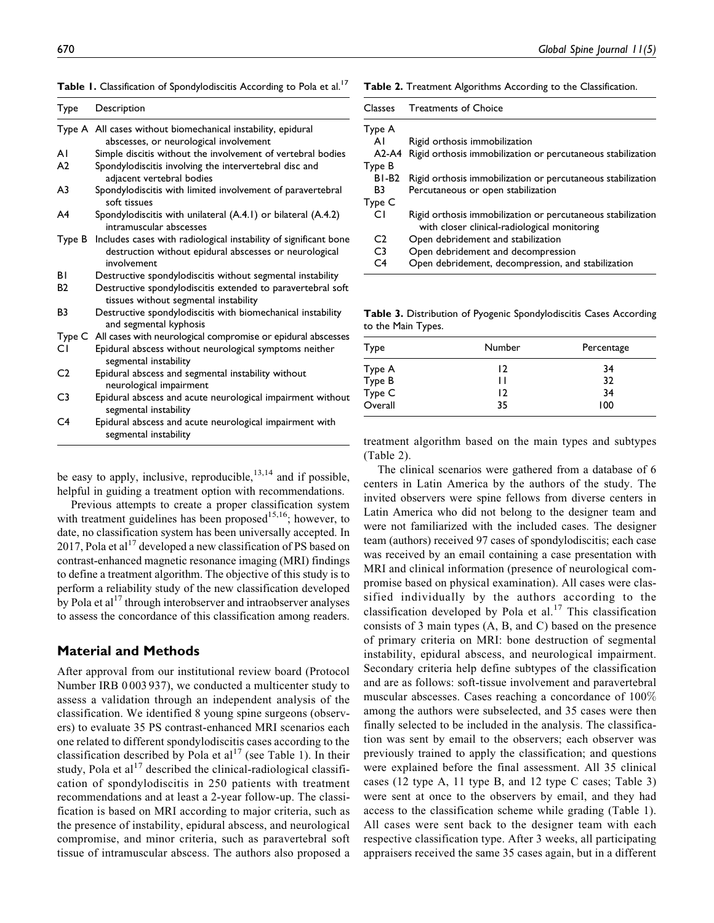|  | Table 1. Classification of Spondylodiscitis According to Pola et al. <sup>17</sup> |  |  |  |
|--|------------------------------------------------------------------------------------|--|--|--|
|  |                                                                                    |  |  |  |

| Type           | Description                                                                                                                               |  |  |  |
|----------------|-------------------------------------------------------------------------------------------------------------------------------------------|--|--|--|
|                | Type A All cases without biomechanical instability, epidural<br>abscesses, or neurological involvement                                    |  |  |  |
| ΑI             | Simple discitis without the involvement of vertebral bodies                                                                               |  |  |  |
| A <sub>2</sub> | Spondylodiscitis involving the intervertebral disc and<br>adjacent vertebral bodies                                                       |  |  |  |
| A <sub>3</sub> | Spondylodiscitis with limited involvement of paravertebral<br>soft tissues                                                                |  |  |  |
| A4             | Spondylodiscitis with unilateral (A.4.1) or bilateral (A.4.2)<br>intramuscular abscesses                                                  |  |  |  |
| Type B         | Includes cases with radiological instability of significant bone<br>destruction without epidural abscesses or neurological<br>involvement |  |  |  |
| ΒI             | Destructive spondylodiscitis without segmental instability                                                                                |  |  |  |
| <b>B2</b>      | Destructive spondylodiscitis extended to paravertebral soft<br>tissues without segmental instability                                      |  |  |  |
| B <sub>3</sub> | Destructive spondylodiscitis with biomechanical instability<br>and segmental kyphosis                                                     |  |  |  |
| Type C         | All cases with neurological compromise or epidural abscesses                                                                              |  |  |  |
| СI             | Epidural abscess without neurological symptoms neither<br>segmental instability                                                           |  |  |  |
| C <sub>2</sub> | Epidural abscess and segmental instability without<br>neurological impairment                                                             |  |  |  |
| C <sub>3</sub> | Epidural abscess and acute neurological impairment without<br>segmental instability                                                       |  |  |  |
| C <sub>4</sub> | Epidural abscess and acute neurological impairment with<br>segmental instability                                                          |  |  |  |

be easy to apply, inclusive, reproducible,  $13,14$  and if possible, helpful in guiding a treatment option with recommendations.

Previous attempts to create a proper classification system with treatment guidelines has been proposed $15,16$ ; however, to date, no classification system has been universally accepted. In 2017, Pola et al<sup>17</sup> developed a new classification of PS based on contrast-enhanced magnetic resonance imaging (MRI) findings to define a treatment algorithm. The objective of this study is to perform a reliability study of the new classification developed by Pola et  $al<sup>17</sup>$  through interobserver and intraobserver analyses to assess the concordance of this classification among readers.

## **Material and Methods**

After approval from our institutional review board (Protocol Number IRB 0 003 937), we conducted a multicenter study to assess a validation through an independent analysis of the classification. We identified 8 young spine surgeons (observers) to evaluate 35 PS contrast-enhanced MRI scenarios each one related to different spondylodiscitis cases according to the classification described by Pola et  $al^{17}$  (see Table 1). In their study, Pola et al<sup>17</sup> described the clinical-radiological classification of spondylodiscitis in 250 patients with treatment recommendations and at least a 2-year follow-up. The classification is based on MRI according to major criteria, such as the presence of instability, epidural abscess, and neurological compromise, and minor criteria, such as paravertebral soft tissue of intramuscular abscess. The authors also proposed a

#### **Table 2.** Treatment Algorithms According to the Classification.

| Classes           | <b>Treatments of Choice</b>                                                                                 |  |  |
|-------------------|-------------------------------------------------------------------------------------------------------------|--|--|
| Type A            |                                                                                                             |  |  |
| ΑI                | Rigid orthosis immobilization                                                                               |  |  |
| $A2-A4$           | Rigid orthosis immobilization or percutaneous stabilization                                                 |  |  |
| Type B            |                                                                                                             |  |  |
| BI-B <sub>2</sub> | Rigid orthosis immobilization or percutaneous stabilization                                                 |  |  |
| R3                | Percutaneous or open stabilization                                                                          |  |  |
| Type C            |                                                                                                             |  |  |
| CΙ                | Rigid orthosis immobilization or percutaneous stabilization<br>with closer clinical-radiological monitoring |  |  |
| C <sub>2</sub>    | Open debridement and stabilization                                                                          |  |  |
| C <sub>3</sub>    | Open debridement and decompression                                                                          |  |  |
| C4                | Open debridement, decompression, and stabilization                                                          |  |  |

**Table 3.** Distribution of Pyogenic Spondylodiscitis Cases According to the Main Types.

| Type                                  | Number | Percentage |
|---------------------------------------|--------|------------|
|                                       | 12     | 34         |
|                                       | Н      | 32         |
|                                       | 12     | 34         |
| Type A<br>Type B<br>Type C<br>Overall | 35     | 100        |

treatment algorithm based on the main types and subtypes (Table 2).

The clinical scenarios were gathered from a database of 6 centers in Latin America by the authors of the study. The invited observers were spine fellows from diverse centers in Latin America who did not belong to the designer team and were not familiarized with the included cases. The designer team (authors) received 97 cases of spondylodiscitis; each case was received by an email containing a case presentation with MRI and clinical information (presence of neurological compromise based on physical examination). All cases were classified individually by the authors according to the classification developed by Pola et al.<sup>17</sup> This classification consists of 3 main types (A, B, and C) based on the presence of primary criteria on MRI: bone destruction of segmental instability, epidural abscess, and neurological impairment. Secondary criteria help define subtypes of the classification and are as follows: soft-tissue involvement and paravertebral muscular abscesses. Cases reaching a concordance of 100% among the authors were subselected, and 35 cases were then finally selected to be included in the analysis. The classification was sent by email to the observers; each observer was previously trained to apply the classification; and questions were explained before the final assessment. All 35 clinical cases (12 type A, 11 type B, and 12 type C cases; Table 3) were sent at once to the observers by email, and they had access to the classification scheme while grading (Table 1). All cases were sent back to the designer team with each respective classification type. After 3 weeks, all participating appraisers received the same 35 cases again, but in a different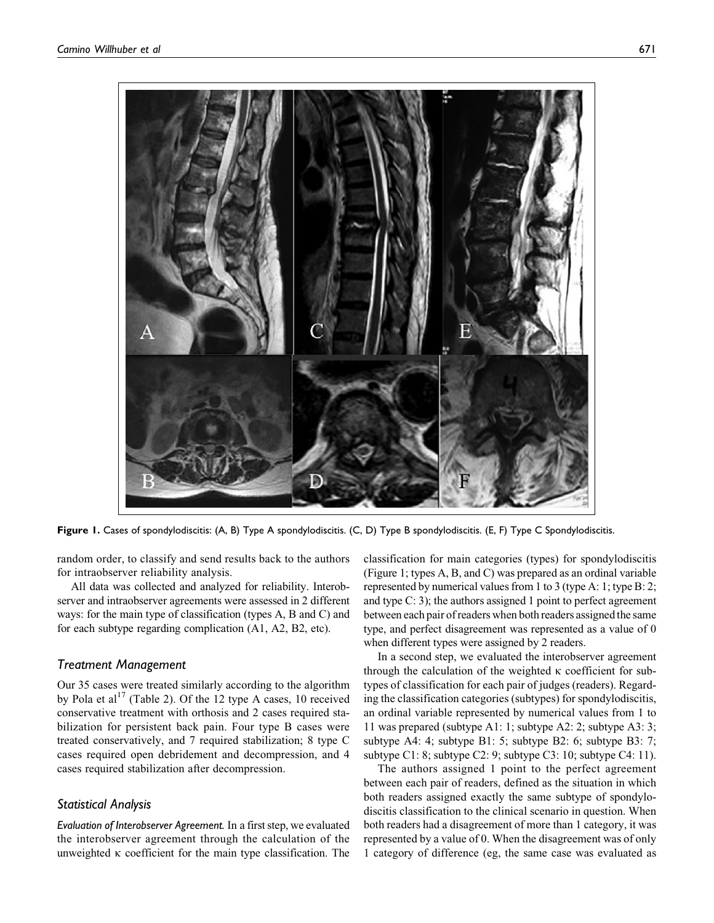

**Figure 1.** Cases of spondylodiscitis: (A, B) Type A spondylodiscitis. (C, D) Type B spondylodiscitis. (E, F) Type C Spondylodiscitis.

random order, to classify and send results back to the authors for intraobserver reliability analysis.

All data was collected and analyzed for reliability. Interobserver and intraobserver agreements were assessed in 2 different ways: for the main type of classification (types A, B and C) and for each subtype regarding complication (A1, A2, B2, etc).

#### *Treatment Management*

Our 35 cases were treated similarly according to the algorithm by Pola et al<sup>17</sup> (Table 2). Of the 12 type A cases, 10 received conservative treatment with orthosis and 2 cases required stabilization for persistent back pain. Four type B cases were treated conservatively, and 7 required stabilization; 8 type C cases required open debridement and decompression, and 4 cases required stabilization after decompression.

### *Statistical Analysis*

*Evaluation of Interobserver Agreement.* In a first step, we evaluated the interobserver agreement through the calculation of the unweighted  $\kappa$  coefficient for the main type classification. The classification for main categories (types) for spondylodiscitis (Figure 1; types A, B, and C) was prepared as an ordinal variable represented by numerical values from 1 to 3 (type A: 1; type B: 2; and type C: 3); the authors assigned 1 point to perfect agreement between each pair of readers when both readers assigned the same type, and perfect disagreement was represented as a value of 0 when different types were assigned by 2 readers.

In a second step, we evaluated the interobserver agreement through the calculation of the weighted  $\kappa$  coefficient for subtypes of classification for each pair of judges (readers). Regarding the classification categories (subtypes) for spondylodiscitis, an ordinal variable represented by numerical values from 1 to 11 was prepared (subtype A1: 1; subtype A2: 2; subtype A3: 3; subtype A4: 4; subtype B1: 5; subtype B2: 6; subtype B3: 7; subtype C1: 8; subtype C2: 9; subtype C3: 10; subtype C4: 11).

The authors assigned 1 point to the perfect agreement between each pair of readers, defined as the situation in which both readers assigned exactly the same subtype of spondylodiscitis classification to the clinical scenario in question. When both readers had a disagreement of more than 1 category, it was represented by a value of 0. When the disagreement was of only 1 category of difference (eg, the same case was evaluated as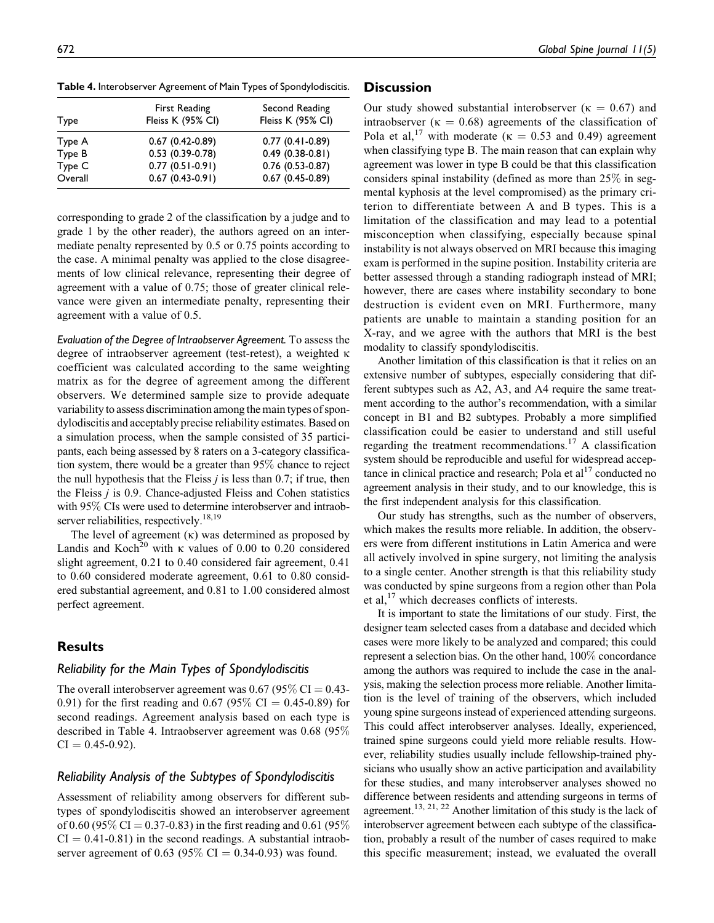Overall 0.67 (0.43-0.91) 0.67 (0.45-0.89)

**Table 4.** Interobserver Agreement of Main Types of Spondylodiscitis.

corresponding to grade 2 of the classification by a judge and to grade 1 by the other reader), the authors agreed on an intermediate penalty represented by 0.5 or 0.75 points according to the case. A minimal penalty was applied to the close disagreements of low clinical relevance, representing their degree of agreement with a value of 0.75; those of greater clinical relevance were given an intermediate penalty, representing their agreement with a value of 0.5.

*Evaluation of the Degree of Intraobserver Agreement.* To assess the degree of intraobserver agreement (test-retest), a weighted k coefficient was calculated according to the same weighting matrix as for the degree of agreement among the different observers. We determined sample size to provide adequate variability to assess discrimination among the main types of spondylodiscitis and acceptably precise reliability estimates. Based on a simulation process, when the sample consisted of 35 participants, each being assessed by 8 raters on a 3-category classification system, there would be a greater than 95% chance to reject the null hypothesis that the Fleiss  $j$  is less than 0.7; if true, then the Fleiss  $j$  is 0.9. Chance-adjusted Fleiss and Cohen statistics with 95% CIs were used to determine interobserver and intraobserver reliabilities, respectively.<sup>18,19</sup>

The level of agreement  $(\kappa)$  was determined as proposed by Landis and Koch<sup>20</sup> with  $\kappa$  values of 0.00 to 0.20 considered slight agreement, 0.21 to 0.40 considered fair agreement, 0.41 to 0.60 considered moderate agreement, 0.61 to 0.80 considered substantial agreement, and 0.81 to 1.00 considered almost perfect agreement.

# **Results**

## *Reliability for the Main Types of Spondylodiscitis*

The overall interobserver agreement was  $0.67$  (95% CI = 0.43-0.91) for the first reading and 0.67 (95% CI = 0.45-0.89) for second readings. Agreement analysis based on each type is described in Table 4. Intraobserver agreement was 0.68 (95%  $CI = 0.45 - 0.92$ .

## *Reliability Analysis of the Subtypes of Spondylodiscitis*

Assessment of reliability among observers for different subtypes of spondylodiscitis showed an interobserver agreement of 0.60 (95\% CI = 0.37-0.83) in the first reading and 0.61 (95\%)  $CI = 0.41 - 0.81$  in the second readings. A substantial intraobserver agreement of 0.63 (95% CI = 0.34-0.93) was found.

# **Discussion**

Our study showed substantial interobserver ( $\kappa = 0.67$ ) and intraobserver ( $\kappa = 0.68$ ) agreements of the classification of Pola et al,<sup>17</sup> with moderate ( $\kappa = 0.53$  and 0.49) agreement when classifying type B. The main reason that can explain why agreement was lower in type B could be that this classification considers spinal instability (defined as more than 25% in segmental kyphosis at the level compromised) as the primary criterion to differentiate between A and B types. This is a limitation of the classification and may lead to a potential misconception when classifying, especially because spinal instability is not always observed on MRI because this imaging exam is performed in the supine position. Instability criteria are better assessed through a standing radiograph instead of MRI; however, there are cases where instability secondary to bone destruction is evident even on MRI. Furthermore, many patients are unable to maintain a standing position for an X-ray, and we agree with the authors that MRI is the best modality to classify spondylodiscitis.

Another limitation of this classification is that it relies on an extensive number of subtypes, especially considering that different subtypes such as A2, A3, and A4 require the same treatment according to the author's recommendation, with a similar concept in B1 and B2 subtypes. Probably a more simplified classification could be easier to understand and still useful regarding the treatment recommendations.<sup>17</sup> A classification system should be reproducible and useful for widespread acceptance in clinical practice and research; Pola et  $a<sup>17</sup>$  conducted no agreement analysis in their study, and to our knowledge, this is the first independent analysis for this classification.

Our study has strengths, such as the number of observers, which makes the results more reliable. In addition, the observers were from different institutions in Latin America and were all actively involved in spine surgery, not limiting the analysis to a single center. Another strength is that this reliability study was conducted by spine surgeons from a region other than Pola et al, $^{17}$  which decreases conflicts of interests.

It is important to state the limitations of our study. First, the designer team selected cases from a database and decided which cases were more likely to be analyzed and compared; this could represent a selection bias. On the other hand, 100% concordance among the authors was required to include the case in the analysis, making the selection process more reliable. Another limitation is the level of training of the observers, which included young spine surgeons instead of experienced attending surgeons. This could affect interobserver analyses. Ideally, experienced, trained spine surgeons could yield more reliable results. However, reliability studies usually include fellowship-trained physicians who usually show an active participation and availability for these studies, and many interobserver analyses showed no difference between residents and attending surgeons in terms of agreement.<sup>13, 21, 22</sup> Another limitation of this study is the lack of interobserver agreement between each subtype of the classification, probably a result of the number of cases required to make this specific measurement; instead, we evaluated the overall